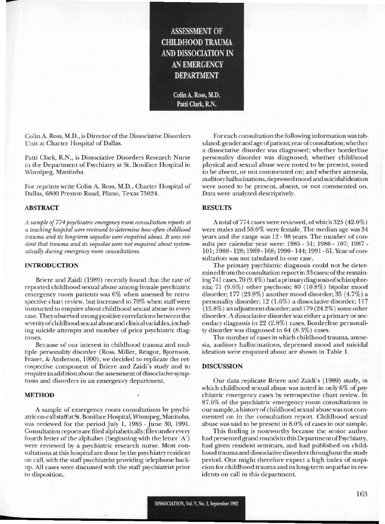## **ASSESSMENT OF CHILDHOOD TRAUMA** AND DISSOCIATION IN **AN EMERGENCY DEPARTMENT**

Colin A. Ross, M.D. Patti Clark, R.N.

Colin A. Ross, M.D., is Director of the Dissociative Disorders Unit at Charter Hospital of Dallas.

Patti Clark, R.N., is Dissociative Disorders Research Nurse in the Department of Psychiatry at St. Boniface Hospital in Winnipeg, Manitoba.

For reprints write Colin A. Ross, M.D., Charter Hospital of Dallas, 6800 Preston Road, Plano, Texas 75024.

#### **ABSTRACT**

A sample of 774 psychiatric emergency room consultation reports at a teaching hospital were reviewed to determine how often childhood trauma and its long-term sequelae were enquired about. It was evident that trauma and its sequelae were not enquired about systematically during emergency room consultations.

#### **INTRODUCTION**

Briere and Zaidi (1989) recently found that the rate of reported childhood sexual abuse among female psychiatric emergency room patients was 6% when assessed by retrospective chart review, but increased to 70% when staff were instructed to enquire about childhood sexual abuse in every case. They observed strong positive correlations between the severity of childhood sexual abuse and clinical variables, including suicide attempts and number of prior psychiatric diagnoses.

Because of our interest in childhood trauma and multiple personality disorder (Ross, Miller, Reagor, Bjornson, Fraser, & Anderson, 1990), we decided to replicate the retrospective component of Briere and Zaidi's study and to enquire in addition about the assessment of dissociative symptoms and disorders in an emergency department.

#### **METHOD**

A sample of emergency room consultations by psychiatric on-call staff at St. Boniface Hospital, Winnipeg, Manitoba, was reviewed for the period July 1, 1985 - June 30, 1991. Consultation reports are filed alphabetically: files under every fourth letter of the alphabet (beginning with the letter 'A') were reviewed by a psychiatric research nurse. Most consultations at this hospital are done by the psychiatry resident on call, with the staff psychiatrist providing telephone backup. All cases were discussed with the staff psychiatrist prior to disposition.

For each consultation the following information was tabulated: gender and age of patient; year of consultation; whether a dissociative disorder was diagnosed; whether borderline personality disorder was diagnosed; whether childhood physical and sexual abuse were noted to be present, noted to be absent, or not commented on; and whether amnesia, auditory hallucinations, depressed mood and suicidal ideation were noted to be present, absent, or not commented on. Data were analyzed descriptively.

#### **RESULTS**

A total of 774 cases were reviewed, of which 325 (42.0%) were males and 58.0% were female. The median age was 34 years and the range was 12 - 98 years. The number of consults per calendar year were: 1985 - 51; 1986 - 107; 1987 -101; 1988 - 128; 1989 - 168; 1990 - 144; 1991 - 61. Year of consultation was not tabulated in one case.

The primary psychiatric diagnosis could not be determined from the consultation report in 33 cases: of the remaining 741 cases, 70 (9.4%) had a primary diagnosis of schizophrenia; 71 (9.6%) other psychosis; 80 (10.8%) bipolar mood disorder; 177 (23.9%) another mood disorder; 35 (4.7%) a personality disorder; 12 (1.6%) a dissociative disorder; 117 (15.8%) an adjustment disorder; and 179 (24.2%) some other disorder. A dissociative disorder was either a primary or secondary diagnosis in 22 (2.8%) cases. Borderline personality disorder was diagnosed in  $64$   $(8.3\%)$  cases.

The number of cases in which childhood trauma, amnesia, auditory hallucinations, depressed mood and suicidal ideation were enquired about are shown in Table 1.

### **DISCUSSION**

Our data replicate Briere and Zaidi's (1989) study, in which childhood sexual abuse was noted in only 6% of psychiatric emergency cases by retrospective chart review. In 87.6% of the psychiatric emergency room consultations in our sample, a history of childhood sexual abuse was not commented on in the consultation report. Childhood sexual abuse was said to be present in 8.0% of cases in our sample.

This finding is noteworthy because the senior author had presented grand rounds in this Department of Psychiatry, had given resident seminars, and had published on childhood trauma and dissociative disorders throughout the study period. One might therefore expect a high index of suspicion for childhood trauma and its long-term sequelae in residents on call in this department.

163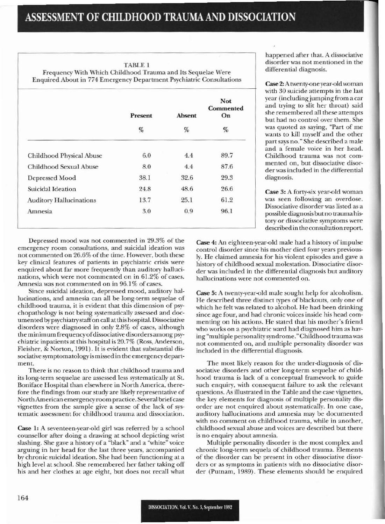TABLE I

Frequency With Which Childhood Trauma and Its Sequelae Were Enquired About in 774 Emergency Department Psychiatric Consultations

|                                | Present<br>$\%$ | Absent<br>% | <b>Not</b><br>Commented<br>On<br>$\%$ |
|--------------------------------|-----------------|-------------|---------------------------------------|
|                                |                 |             |                                       |
| Childhood Physical Abuse       | 6.0             | 4.4         | 89.7                                  |
| Childhood Sexual Abuse         | 8.0             | 4.4         | 87.6                                  |
| Depressed Mood                 | 38.1            | 32.6        | 29.3                                  |
| Suicidal Ideation              | 24.8            | 48.6        | 26.6                                  |
| <b>Auditory Hallucinations</b> | 13.7            | 25.1        | 61.2                                  |
| Amnesia                        | 3.0             | 0.9         | 96.1                                  |

happened after that. A dissociative disorder was not mentioned in the differential diagnosis.

Case 2:A twenty-oneyear-old woman with 30 suicide attempts in the last year (including jumping from a car and trying to slit her throat) said she remembered all these attempts but had no control over them. She was quoted as saying, "Part of me wants to kill myself and the other part says no." She described a male and a female voice in her head. Childhood trauma was not commented on, but dissociative disorderwas included in the differential diagnosis.

Case 3: A forty-six year-old woman was seen following an overdose. Dissociative disorder was listed as a possible diagnosis but no trauma history or dissociative symptoms were descrihcd in the consultation report.

Depressed mood was not commented in 29.3% of the emergency room consultations, and suicidal ideation was not commented on 26.6% of the time. However, both these key clinical features of patients in psychiatric crisis were enquired about far more frequently than auditory hallucinations. which were not commented on in 61.2% of cases. Amnesia was not commented on in 96.1% of cases.

Since suicidal ideation, depressed mood, auditory hallucinations, and amnesia can all be long-term sequelae of childhood trauma, it is evident that this dimension of psychopathology is not being systematically assessed and documented by psychiatry staff on call at this hospital. Dissociative disorders were diagnoscd in only 2.8% of cases, although the minimum frequency of dissociative disorders among psychiatric inpatients at this hospital is 20.7% (Ross, Anderson, Flcisher, & Norton. 1991). It is cvident that substantial dissociative symptomatology is missed in the emergency department.

There is no reason to think that childhood trauma and its long-term sequelae are assessed less systematically at St. Boniface Hospital than elsewhere in North America, therefore the findings from our study are likely representative of North American emergency room practice. Several brief case vignettes from the sample give a sense of the lack of systematic assessment for childhood trauma and dissociation.

Case 1: A seventeen-year-old girl was referred by a school counsellor after doing a drawing at school depicting wrist slashing. She gave a history of a "black" and a "white" voice arguing in her head for the last three years, accompanied by chronic suicidal ideation. She had been functioning at a high level at school. She remembered her father taking off his and her clothes at age eight, but does not recall what Case 4: An eighteen-year-old male had a history of impulse control disorder since his mother died four years previously. He claimed amnesia for his violent episodes and gave a history of childhood sexual molestation. Dissociative disorder was included in the differential diagnosis but auditory hallucinations werc not commented on.

Case 5: A twenty-year-old male sought help for alcoholism. He described three distinct types of blackouts, only one of which he felt was related to alcohol. He had been drinking since age four, and had chronic voices inside his head commcnting on his actions. He stated that his mother's friend who works on a psychiatric ward had diagnosed him as having "multiple personality syndrome." Childhood trauma was not commented on, and multiple personality disorder was included in the differential diagnosis.

The most likely reason for the under-diagnosis of dissociative disorders and other long-term sequelae of childhood trauma is lack of a conceptual framework <sup>10</sup> guide such enquiry, with consequent failure to ask the relevant questions. As illustrated in the Table and the case vignettes. the key elements for diagnosis of multiple personaliry disorder are not enquired about systematically. In one case, auditory hallucinations and amnesia may be documented with no comment on childhood trauma, while in another, childhood sexual abuse and \'oices are described but there is no enquiry about amnesia.

Multiple personality disorder is the most complex and chronic long-term sequela of childhood trauma. Elements of the disorder can be present in other dissociative disorders or as symptoms in patients with no dissociative disorder (Putnam. 1989). These elements should be enquired